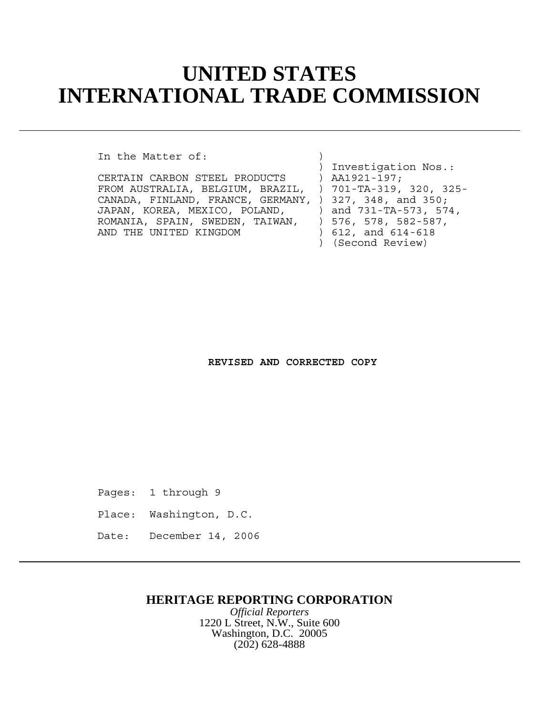## **UNITED STATES INTERNATIONAL TRADE COMMISSION**

In the Matter of:

CERTAIN CARBON STEEL PRODUCTS ) AA1921-197; FROM AUSTRALIA, BELGIUM, BRAZIL, ) 701-TA-319, 320, 325- CANADA, FINLAND, FRANCE, GERMANY, ) 327, 348, and 350;<br>JAPAN, KOREA, MEXICO, POLAND, ) and 731-TA-573, 574, JAPAN, KOREA, MEXICO, POLAND, ROMANIA, SPAIN, SWEDEN, TAIWAN, ) 576, 578, 582-587, AND THE UNITED KINGDOM (612, and 614-618)

 ) Investigation Nos.: ) (Second Review)

## **REVISED AND CORRECTED COPY**

Pages: 1 through 9

Place: Washington, D.C.

Date: December 14, 2006

## **HERITAGE REPORTING CORPORATION**

*Official Reporters* 1220 L Street, N.W., Suite 600 Washington, D.C. 20005 (202) 628-4888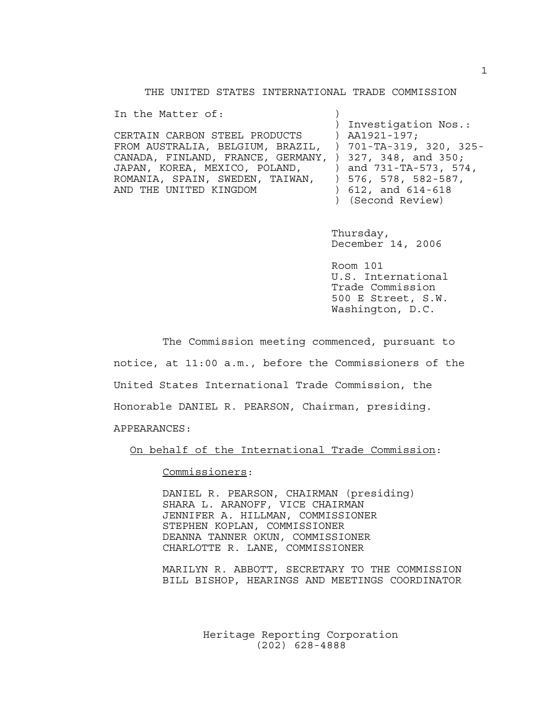THE UNITED STATES INTERNATIONAL TRADE COMMISSION

In the Matter of:

CERTAIN CARBON STEEL PRODUCTS ) AA1921-197; FROM AUSTRALIA, BELGIUM, BRAZIL, ) 701-TA-319, 320, 325- CANADA, FINLAND, FRANCE, GERMANY, ) 327, 348, and 350; JAPAN, KOREA, MEXICO, POLAND, ) and 731-TA-573, 574, ROMANIA, SPAIN, SWEDEN, TAIWAN, ) 576, 578, 582-587, AND THE UNITED KINGDOM (612, and 614-618)

 ) Investigation Nos.: ) (Second Review)

 Thursday, December 14, 2006

 Room 101 U.S. International Trade Commission 500 E Street, S.W. Washington, D.C.

The Commission meeting commenced, pursuant to notice, at 11:00 a.m., before the Commissioners of the United States International Trade Commission, the Honorable DANIEL R. PEARSON, Chairman, presiding.

APPEARANCES:

On behalf of the International Trade Commission:

Commissioners:

DANIEL R. PEARSON, CHAIRMAN (presiding) SHARA L. ARANOFF, VICE CHAIRMAN JENNIFER A. HILLMAN, COMMISSIONER STEPHEN KOPLAN, COMMISSIONER DEANNA TANNER OKUN, COMMISSIONER CHARLOTTE R. LANE, COMMISSIONER

MARILYN R. ABBOTT, SECRETARY TO THE COMMISSION BILL BISHOP, HEARINGS AND MEETINGS COORDINATOR

> Heritage Reporting Corporation (202) 628-4888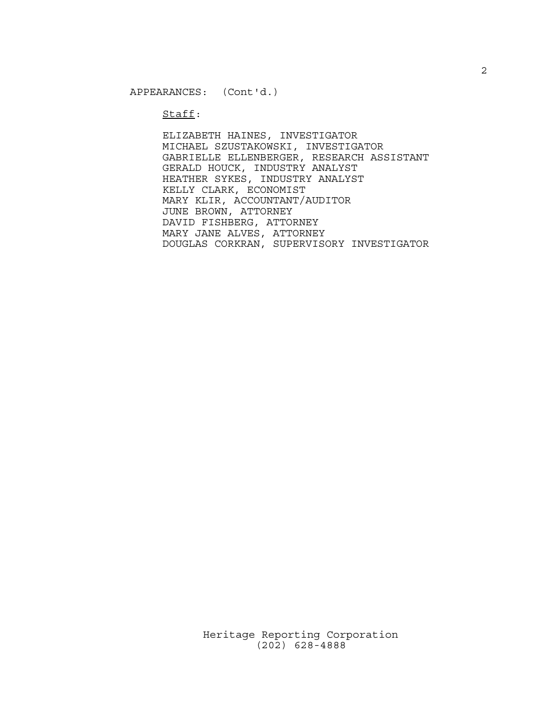Staff:

ELIZABETH HAINES, INVESTIGATOR MICHAEL SZUSTAKOWSKI, INVESTIGATOR GABRIELLE ELLENBERGER, RESEARCH ASSISTANT GERALD HOUCK, INDUSTRY ANALYST HEATHER SYKES, INDUSTRY ANALYST KELLY CLARK, ECONOMIST MARY KLIR, ACCOUNTANT/AUDITOR JUNE BROWN, ATTORNEY DAVID FISHBERG, ATTORNEY MARY JANE ALVES, ATTORNEY DOUGLAS CORKRAN, SUPERVISORY INVESTIGATOR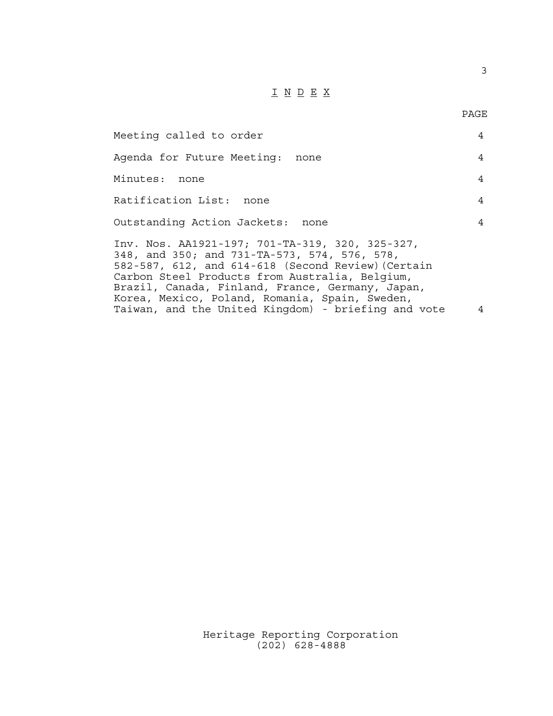## $\underline{\texttt{I}} \underline{\texttt{N}} \underline{\texttt{D}} \underline{\texttt{E}} \underline{\texttt{X}}$

3

| Meeting called to order                                                                                                                                                                                                                                                                                       | 4              |
|---------------------------------------------------------------------------------------------------------------------------------------------------------------------------------------------------------------------------------------------------------------------------------------------------------------|----------------|
| Agenda for Future Meeting: none                                                                                                                                                                                                                                                                               | 4              |
| Minutes: none                                                                                                                                                                                                                                                                                                 | 4              |
| Ratification List: none                                                                                                                                                                                                                                                                                       | $\overline{4}$ |
| Outstanding Action Jackets: none                                                                                                                                                                                                                                                                              | 4              |
| Inv. Nos. AA1921-197; 701-TA-319, 320, 325-327,<br>348, and 350; and 731-TA-573, 574, 576, 578,<br>582-587, 612, and 614-618 (Second Review) (Certain<br>Carbon Steel Products from Australia, Belgium,<br>Brazil, Canada, Finland, France, Germany, Japan,<br>Korea, Mexico, Poland, Romania, Spain, Sweden, |                |
| Taiwan, and the United Kingdom) - briefing and vote                                                                                                                                                                                                                                                           | 4              |

Heritage Reporting Corporation (202) 628-4888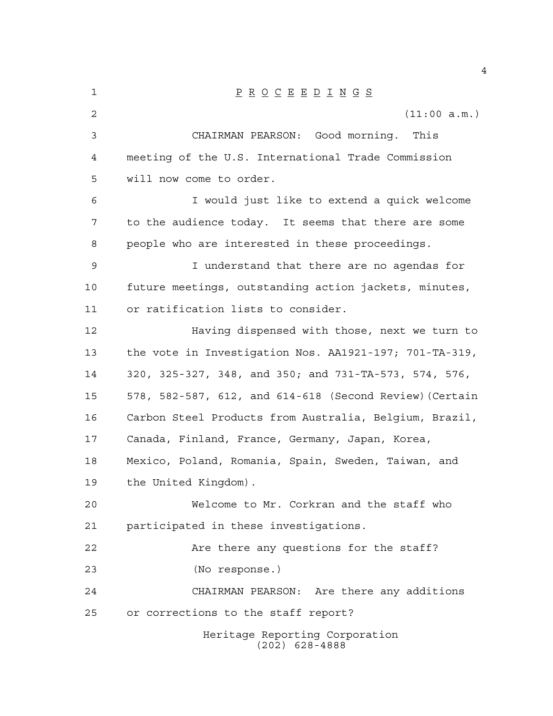| 1  | $\underline{P} \underline{R} \underline{O} \underline{C} \underline{E} \underline{E} \underline{D} \underline{I} \underline{N} \underline{G} \underline{S}$ |
|----|-------------------------------------------------------------------------------------------------------------------------------------------------------------|
| 2  | (11:00 a.m.)                                                                                                                                                |
| 3  | CHAIRMAN PEARSON: Good morning. This                                                                                                                        |
| 4  | meeting of the U.S. International Trade Commission                                                                                                          |
| 5  | will now come to order.                                                                                                                                     |
| 6  | I would just like to extend a quick welcome                                                                                                                 |
| 7  | to the audience today. It seems that there are some                                                                                                         |
| 8  | people who are interested in these proceedings.                                                                                                             |
| 9  | I understand that there are no agendas for                                                                                                                  |
| 10 | future meetings, outstanding action jackets, minutes,                                                                                                       |
| 11 | or ratification lists to consider.                                                                                                                          |
| 12 | Having dispensed with those, next we turn to                                                                                                                |
| 13 | the vote in Investigation Nos. AA1921-197; 701-TA-319,                                                                                                      |
| 14 | 320, 325-327, 348, and 350; and 731-TA-573, 574, 576,                                                                                                       |
| 15 | 578, 582-587, 612, and 614-618 (Second Review) (Certain                                                                                                     |
| 16 | Carbon Steel Products from Australia, Belgium, Brazil,                                                                                                      |
| 17 | Canada, Finland, France, Germany, Japan, Korea,                                                                                                             |
| 18 | Mexico, Poland, Romania, Spain, Sweden, Taiwan, and                                                                                                         |
| 19 | the United Kingdom).                                                                                                                                        |
| 20 | Welcome to Mr. Corkran and the staff who                                                                                                                    |
| 21 | participated in these investigations.                                                                                                                       |
| 22 | Are there any questions for the staff?                                                                                                                      |
| 23 | (No response.)                                                                                                                                              |
| 24 | CHAIRMAN PEARSON: Are there any additions                                                                                                                   |
| 25 | or corrections to the staff report?                                                                                                                         |
|    | Heritage Reporting Corporation<br>$(202)$ 628-4888                                                                                                          |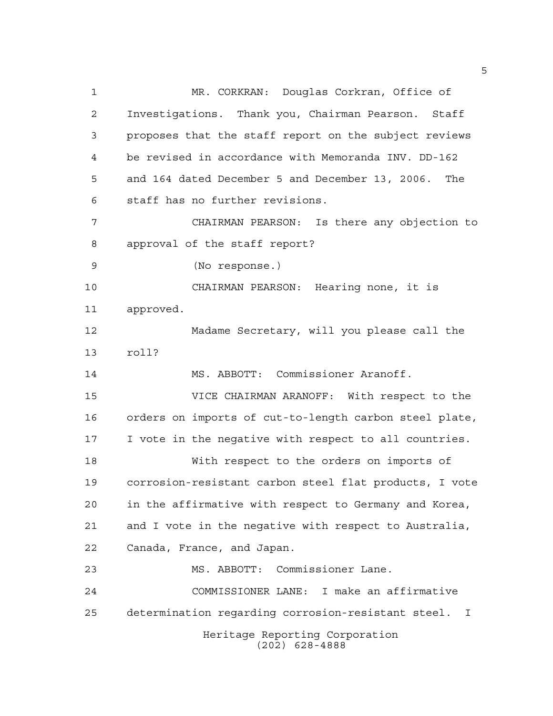Heritage Reporting Corporation (202) 628-4888 MR. CORKRAN: Douglas Corkran, Office of Investigations. Thank you, Chairman Pearson. Staff proposes that the staff report on the subject reviews be revised in accordance with Memoranda INV. DD-162 and 164 dated December 5 and December 13, 2006. The staff has no further revisions. CHAIRMAN PEARSON: Is there any objection to approval of the staff report? (No response.) CHAIRMAN PEARSON: Hearing none, it is approved. Madame Secretary, will you please call the roll? MS. ABBOTT: Commissioner Aranoff. VICE CHAIRMAN ARANOFF: With respect to the orders on imports of cut-to-length carbon steel plate, I vote in the negative with respect to all countries. With respect to the orders on imports of corrosion-resistant carbon steel flat products, I vote in the affirmative with respect to Germany and Korea, and I vote in the negative with respect to Australia, Canada, France, and Japan. MS. ABBOTT: Commissioner Lane. COMMISSIONER LANE: I make an affirmative determination regarding corrosion-resistant steel. I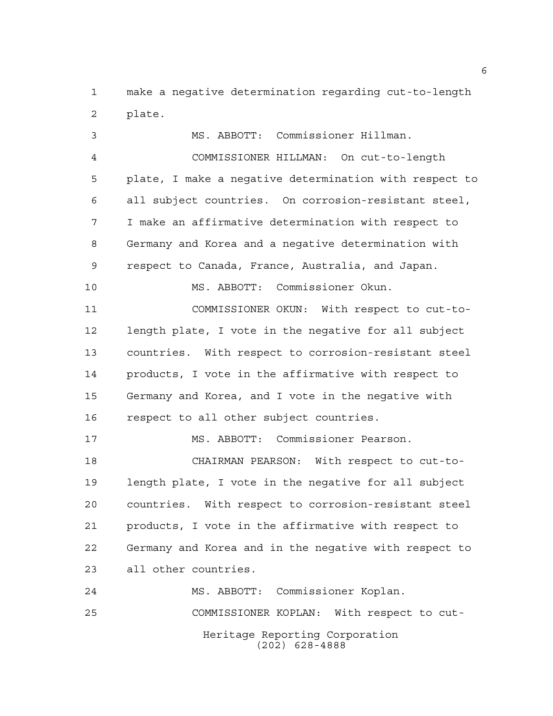make a negative determination regarding cut-to-length plate.

 MS. ABBOTT: Commissioner Hillman. COMMISSIONER HILLMAN: On cut-to-length plate, I make a negative determination with respect to all subject countries. On corrosion-resistant steel, I make an affirmative determination with respect to Germany and Korea and a negative determination with respect to Canada, France, Australia, and Japan. MS. ABBOTT: Commissioner Okun. COMMISSIONER OKUN: With respect to cut-to- length plate, I vote in the negative for all subject countries. With respect to corrosion-resistant steel products, I vote in the affirmative with respect to Germany and Korea, and I vote in the negative with respect to all other subject countries. MS. ABBOTT: Commissioner Pearson. CHAIRMAN PEARSON: With respect to cut-to- length plate, I vote in the negative for all subject countries. With respect to corrosion-resistant steel products, I vote in the affirmative with respect to Germany and Korea and in the negative with respect to all other countries. MS. ABBOTT: Commissioner Koplan. COMMISSIONER KOPLAN: With respect to cut-

Heritage Reporting Corporation (202) 628-4888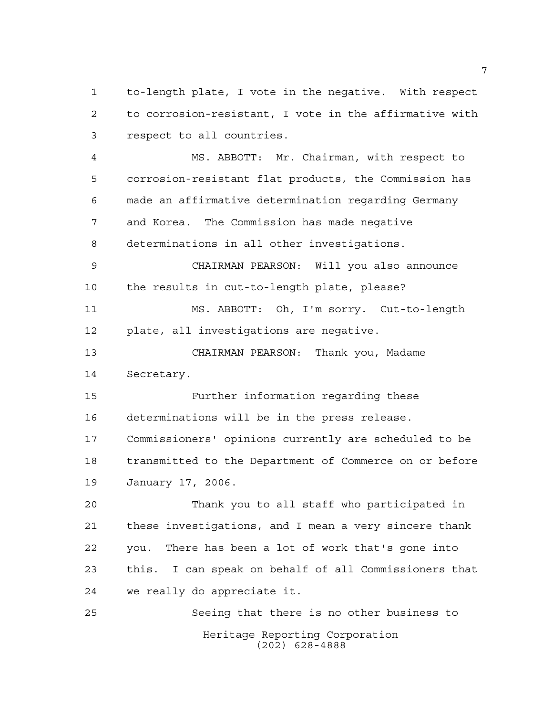to-length plate, I vote in the negative. With respect to corrosion-resistant, I vote in the affirmative with respect to all countries.

 MS. ABBOTT: Mr. Chairman, with respect to corrosion-resistant flat products, the Commission has made an affirmative determination regarding Germany and Korea. The Commission has made negative determinations in all other investigations.

 CHAIRMAN PEARSON: Will you also announce the results in cut-to-length plate, please?

 MS. ABBOTT: Oh, I'm sorry. Cut-to-length plate, all investigations are negative.

 CHAIRMAN PEARSON: Thank you, Madame Secretary.

 Further information regarding these determinations will be in the press release. Commissioners' opinions currently are scheduled to be transmitted to the Department of Commerce on or before January 17, 2006.

 Thank you to all staff who participated in these investigations, and I mean a very sincere thank you. There has been a lot of work that's gone into this. I can speak on behalf of all Commissioners that we really do appreciate it.

Heritage Reporting Corporation (202) 628-4888 Seeing that there is no other business to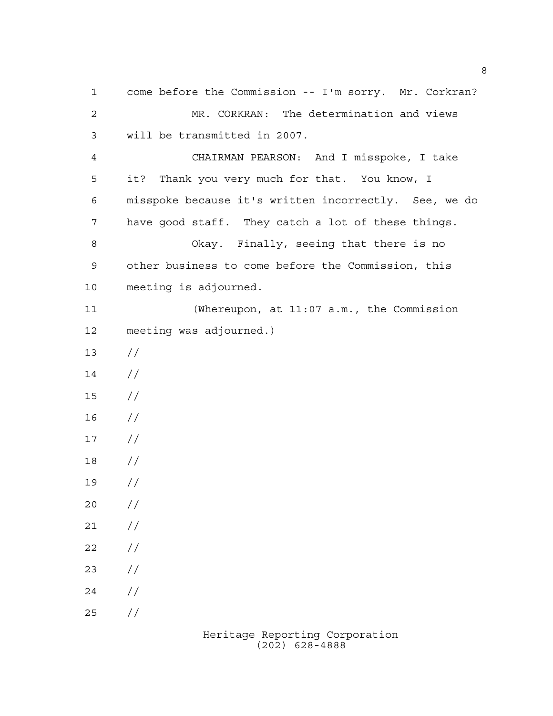come before the Commission -- I'm sorry. Mr. Corkran? MR. CORKRAN: The determination and views will be transmitted in 2007. CHAIRMAN PEARSON: And I misspoke, I take it? Thank you very much for that. You know, I misspoke because it's written incorrectly. See, we do have good staff. They catch a lot of these things. Okay. Finally, seeing that there is no other business to come before the Commission, this meeting is adjourned. (Whereupon, at 11:07 a.m., the Commission meeting was adjourned.)  $13 / /$  // // //  $17 /$  // //  $20 /$  $21 /$  $22 / /$  $23 / /$  $24 /$  $25 / /$ 

> Heritage Reporting Corporation (202) 628-4888